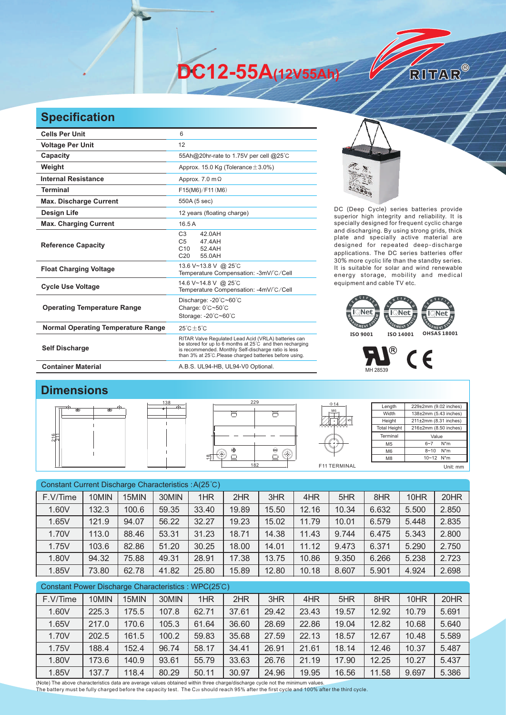**DC12-55A(12V55Ah)** 

## **Specification**

| <b>Cells Per Unit</b>                     | 6                                                                                                                                                                                                                                   |  |  |  |  |  |
|-------------------------------------------|-------------------------------------------------------------------------------------------------------------------------------------------------------------------------------------------------------------------------------------|--|--|--|--|--|
| <b>Voltage Per Unit</b>                   | 12                                                                                                                                                                                                                                  |  |  |  |  |  |
| Capacity                                  | 55Ah@20hr-rate to 1.75V per cell @25°C                                                                                                                                                                                              |  |  |  |  |  |
| Weight                                    | Approx. 15.0 Kg (Tolerance $\pm$ 3.0%)                                                                                                                                                                                              |  |  |  |  |  |
| <b>Internal Resistance</b>                | Approx. $7.0 \text{ m}\Omega$                                                                                                                                                                                                       |  |  |  |  |  |
| <b>Terminal</b>                           | F15(M6)/F11(M6)                                                                                                                                                                                                                     |  |  |  |  |  |
| <b>Max. Discharge Current</b>             | 550A (5 sec)                                                                                                                                                                                                                        |  |  |  |  |  |
| <b>Design Life</b>                        | 12 years (floating charge)                                                                                                                                                                                                          |  |  |  |  |  |
| <b>Max. Charging Current</b>              | 16.5A                                                                                                                                                                                                                               |  |  |  |  |  |
| <b>Reference Capacity</b>                 | C <sub>3</sub><br>42.0AH<br>C <sub>5</sub><br>47.4AH<br>C10<br>52.4AH<br>C <sub>20</sub><br>55.0AH                                                                                                                                  |  |  |  |  |  |
| <b>Float Charging Voltage</b>             | 13.6 V~13.8 V @ 25°C<br>Temperature Compensation: -3mV/°C/Cell                                                                                                                                                                      |  |  |  |  |  |
| <b>Cycle Use Voltage</b>                  | 14.6 V~14.8 V @ 25°C<br>Temperature Compensation: -4mV/°C/Cell                                                                                                                                                                      |  |  |  |  |  |
| <b>Operating Temperature Range</b>        | Discharge: -20°C~60°C<br>Charge: 0°C~50°C<br>Storage: -20°C~60°C                                                                                                                                                                    |  |  |  |  |  |
| <b>Normal Operating Temperature Range</b> | $25^{\circ}$ C + 5 $^{\circ}$ C                                                                                                                                                                                                     |  |  |  |  |  |
| <b>Self Discharge</b>                     | RITAR Valve Regulated Lead Acid (VRLA) batteries can<br>be stored for up to 6 months at 25°C and then recharging<br>is recommended. Monthly Self-discharge ratio is less<br>than 3% at 25°C. Please charged batteries before using. |  |  |  |  |  |
| <b>Container Material</b>                 | A.B.S. UL94-HB, UL94-V0 Optional.                                                                                                                                                                                                   |  |  |  |  |  |



RITAR®

DC (Deep Cycle) series batteries provide superior high integrity and reliability. It is specially designed for frequent cyclic charge and discharging. By using strong grids, thick plate and specially active material are designed for repeated deep-discharge applications. The DC series batteries offer 30% more cyclic life than the standby series. It is suitable for solar and wind renewable energy storage, mobility and medical equipment and cable TV etc.



## $\circledR$  $C \in$ MH 28539

## **Dimensions**



| Constant Current Discharge Characteristics : A(25°C) |       |       |       |       |       |       |       |       |       |       |       |
|------------------------------------------------------|-------|-------|-------|-------|-------|-------|-------|-------|-------|-------|-------|
| F.V/Time                                             | 10MIN | 15MIN | 30MIN | 1HR   | 2HR   | 3HR   | 4HR   | 5HR   | 8HR   | 10HR  | 20HR  |
| 1.60V                                                | 132.3 | 100.6 | 59.35 | 33.40 | 19.89 | 15.50 | 12.16 | 10.34 | 6.632 | 5.500 | 2.850 |
| 1.65V                                                | 121.9 | 94.07 | 56.22 | 32.27 | 19.23 | 15.02 | 11.79 | 10.01 | 6.579 | 5.448 | 2.835 |
| 1.70V                                                | 113.0 | 88.46 | 53.31 | 31.23 | 18.71 | 14.38 | 11.43 | 9.744 | 6.475 | 5.343 | 2.800 |
| 1.75V                                                | 103.6 | 82.86 | 51.20 | 30.25 | 18.00 | 14.01 | 11.12 | 9.473 | 6.371 | 5.290 | 2.750 |
| 1.80V                                                | 94.32 | 75.88 | 49.31 | 28.91 | 17.38 | 13.75 | 10.86 | 9.350 | 6.266 | 5.238 | 2.723 |
| 1.85V                                                | 73.80 | 62.78 | 41.82 | 25.80 | 15.89 | 12.80 | 10.18 | 8.607 | 5.901 | 4.924 | 2.698 |
| Constant Power Discharge Characteristics: WPC(25°C)  |       |       |       |       |       |       |       |       |       |       |       |
| F.V/Time                                             | 10MIN | 15MIN | 30MIN | 1HR   | 2HR   | 3HR   | 4HR   | 5HR   | 8HR   | 10HR  | 20HR  |
| 1.60V                                                | 225.3 | 175.5 | 107.8 | 62.71 | 37.61 | 29.42 | 23.43 | 19.57 | 12.92 | 10.79 | 5.691 |
| 1.65V                                                | 217.0 | 170.6 | 105.3 | 61.64 | 36.60 | 28.69 | 22.86 | 19.04 | 12.82 | 10.68 | 5.640 |

1.70V | 202.5 | 161.5 | 100.2 | 59.83 | 35.68 | 27.59 | 22.13 | 18.57 | 12.67 | 10.48 | 5.589 1.75V | 188.4 | 152.4 | 96.74 | 58.17 | 34.41 | 26.91 | 21.61 | 18.14 | 12.46 | 10.37 | 5.487 1.80V 173.6 140.9 93.61 55.79 33.63 26.76 21.19 17.90 12.25 10.27 5.437

(Note) The above characteristics data are average values obtained within three charge/discharge cycle not the minimum values. The battery must be fully charged before the capacity test. The C<sub>20</sub> should reach 95% after the first cycle and 100% after the third cycle. 1.85V | 137.7 | 118.4 | 80.29 | 50.11 | 30.97 | 24.96 | 19.95 | 16.56 | 11.58 | 9.697 | 5.386